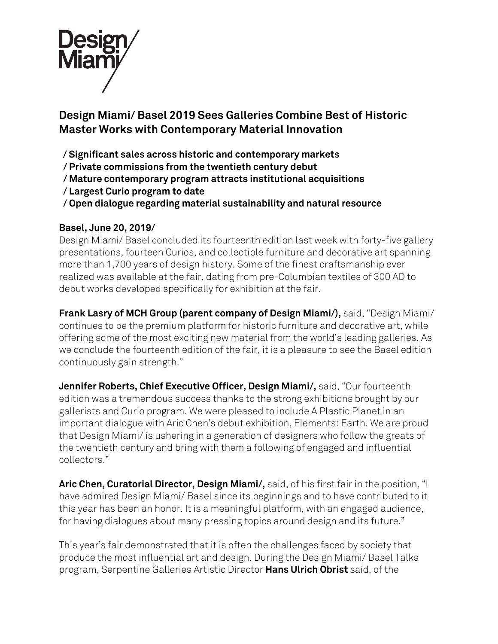

# **Design Miami/ Basel 2019 Sees Galleries Combine Best of Historic Master Works with Contemporary Material Innovation**

**/ Significant sales across historic and contemporary markets**

**/ Private commissions from the twentieth century debut**

- **/ Mature contemporary program attracts institutional acquisitions**
- **/ Largest Curio program to date**
- **/ Open dialogue regarding material sustainability and natural resource**

# **Basel, June 20, 2019/**

Design Miami/ Basel concluded its fourteenth edition last week with forty-five gallery presentations, fourteen Curios, and collectible furniture and decorative art spanning more than 1,700 years of design history. Some of the finest craftsmanship ever realized was available at the fair, dating from pre-Columbian textiles of 300 AD to debut works developed specifically for exhibition at the fair.

**Frank Lasry of MCH Group (parent company of Design Miami/),** said, "Design Miami/ continues to be the premium platform for historic furniture and decorative art, while offering some of the most exciting new material from the world's leading galleries. As we conclude the fourteenth edition of the fair, it is a pleasure to see the Basel edition continuously gain strength."

**Jennifer Roberts, Chief Executive Officer, Design Miami/,** said, "Our fourteenth edition was a tremendous success thanks to the strong exhibitions brought by our gallerists and Curio program. We were pleased to include A Plastic Planet in an important dialogue with Aric Chen's debut exhibition, Elements: Earth. We are proud that Design Miami/ is ushering in a generation of designers who follow the greats of the twentieth century and bring with them a following of engaged and influential collectors."

**Aric Chen, Curatorial Director, Design Miami/,** said, of his first fair in the position, "I have admired Design Miami/ Basel since its beginnings and to have contributed to it this year has been an honor. It is a meaningful platform, with an engaged audience, for having dialogues about many pressing topics around design and its future."

This year's fair demonstrated that it is often the challenges faced by society that produce the most influential art and design. During the Design Miami/ Basel Talks program, Serpentine Galleries Artistic Director **Hans Ulrich Obrist** said, of the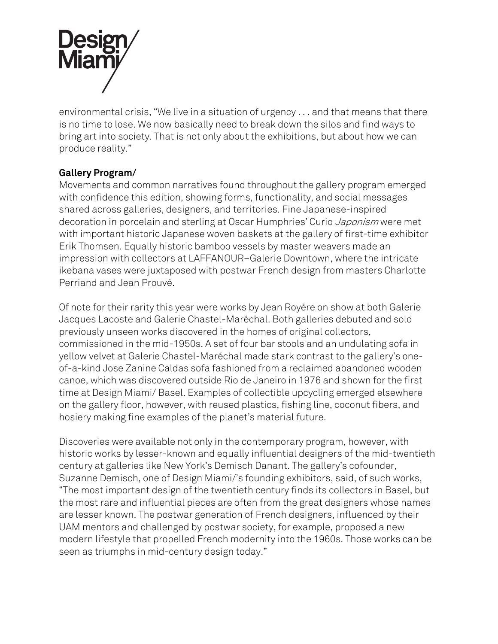

environmental crisis, "We live in a situation of urgency . . . and that means that there is no time to lose. We now basically need to break down the silos and find ways to bring art into society. That is not only about the exhibitions, but about how we can produce reality."

# **Gallery Program/**

Movements and common narratives found throughout the gallery program emerged with confidence this edition, showing forms, functionality, and social messages shared across galleries, designers, and territories. Fine Japanese-inspired decoration in porcelain and sterling at Oscar Humphries' Curio Japonism were met with important historic Japanese woven baskets at the gallery of first-time exhibitor Erik Thomsen. Equally historic bamboo vessels by master weavers made an impression with collectors at LAFFANOUR–Galerie Downtown, where the intricate ikebana vases were juxtaposed with postwar French design from masters Charlotte Perriand and Jean Prouvé.

Of note for their rarity this year were works by Jean Royère on show at both Galerie Jacques Lacoste and Galerie Chastel-Maréchal. Both galleries debuted and sold previously unseen works discovered in the homes of original collectors, commissioned in the mid-1950s. A set of four bar stools and an undulating sofa in yellow velvet at Galerie Chastel-Maréchal made stark contrast to the gallery's oneof-a-kind Jose Zanine Caldas sofa fashioned from a reclaimed abandoned wooden canoe, which was discovered outside Rio de Janeiro in 1976 and shown for the first time at Design Miami/ Basel. Examples of collectible upcycling emerged elsewhere on the gallery floor, however, with reused plastics, fishing line, coconut fibers, and hosiery making fine examples of the planet's material future.

Discoveries were available not only in the contemporary program, however, with historic works by lesser-known and equally influential designers of the mid-twentieth century at galleries like New York's Demisch Danant. The gallery's cofounder, Suzanne Demisch, one of Design Miami/'s founding exhibitors, said, of such works, "The most important design of the twentieth century finds its collectors in Basel, but the most rare and influential pieces are often from the great designers whose names are lesser known. The postwar generation of French designers, influenced by their UAM mentors and challenged by postwar society, for example, proposed a new modern lifestyle that propelled French modernity into the 1960s. Those works can be seen as triumphs in mid-century design today."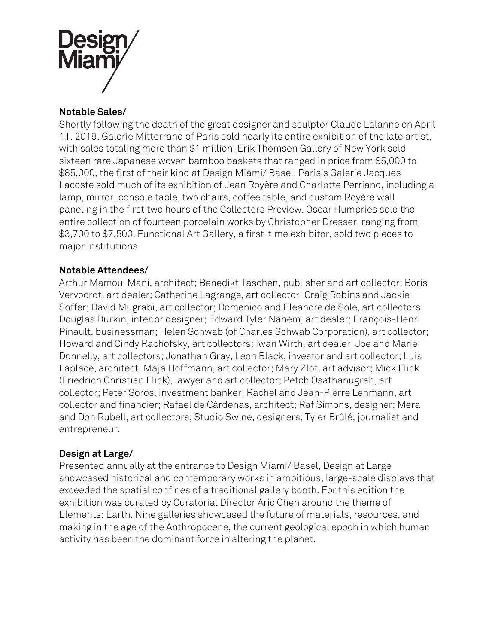

# **Notable Sales/**

Shortly following the death of the great designer and sculptor Claude Lalanne on April 11, 2019, Galerie Mitterrand of Paris sold nearly its entire exhibition of the late artist, with sales totaling more than \$1 million. Erik Thomsen Gallery of New York sold sixteen rare Japanese woven bamboo baskets that ranged in price from \$5,000 to \$85,000, the first of their kind at Design Miami/ Basel. Paris's Galerie Jacques Lacoste sold much of its exhibition of Jean Royère and Charlotte Perriand, including a lamp, mirror, console table, two chairs, coffee table, and custom Royère wall paneling in the first two hours of the Collectors Preview. Oscar Humpries sold the entire collection of fourteen porcelain works by Christopher Dresser, ranging from \$3,700 to \$7,500. Functional Art Gallery, a first-time exhibitor, sold two pieces to major institutions.

# **Notable Attendees/**

Arthur Mamou-Mani, architect; Benedikt Taschen, publisher and art collector; Boris Vervoordt, art dealer; Catherine Lagrange, art collector; Craig Robins and Jackie Soffer; David Mugrabi, art collector; Domenico and Eleanore de Sole, art collectors; Douglas Durkin, interior designer; Edward Tyler Nahem, art dealer; François-Henri Pinault, businessman; Helen Schwab (of Charles Schwab Corporation), art collector; Howard and Cindy Rachofsky, art collectors; Iwan Wirth, art dealer; Joe and Marie Donnelly, art collectors; Jonathan Gray, Leon Black, investor and art collector; Luis Laplace, architect; Maja Hoffmann, art collector; Mary Zlot, art advisor; Mick Flick (Friedrich Christian Flick), lawyer and art collector; Petch Osathanugrah, art collector; Peter Soros, investment banker; Rachel and Jean-Pierre Lehmann, art collector and financier; Rafael de Cárdenas, architect; Raf Simons, designer; Mera and Don Rubell, art collectors; Studio Swine, designers; Tyler Brûlé, journalist and entrepreneur.

### **Design at Large/**

Presented annually at the entrance to Design Miami/ Basel, Design at Large showcased historical and contemporary works in ambitious, large-scale displays that exceeded the spatial confines of a traditional gallery booth. For this edition the exhibition was curated by Curatorial Director Aric Chen around the theme of Elements: Earth. Nine galleries showcased the future of materials, resources, and making in the age of the Anthropocene, the current geological epoch in which human activity has been the dominant force in altering the planet.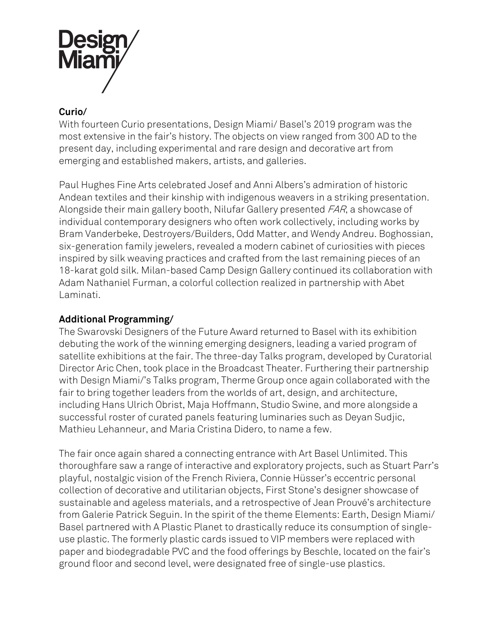

# **Curio/**

With fourteen Curio presentations, Design Miami/ Basel's 2019 program was the most extensive in the fair's history. The objects on view ranged from 300 AD to the present day, including experimental and rare design and decorative art from emerging and established makers, artists, and galleries.

Paul Hughes Fine Arts celebrated Josef and Anni Albers's admiration of historic Andean textiles and their kinship with indigenous weavers in a striking presentation. Alongside their main gallery booth, Nilufar Gallery presented *FAR*, a showcase of individual contemporary designers who often work collectively, including works by Bram Vanderbeke, Destroyers/Builders, Odd Matter, and Wendy Andreu. Boghossian, six-generation family jewelers, revealed a modern cabinet of curiosities with pieces inspired by silk weaving practices and crafted from the last remaining pieces of an 18-karat gold silk. Milan-based Camp Design Gallery continued its collaboration with Adam Nathaniel Furman, a colorful collection realized in partnership with Abet Laminati.

# **Additional Programming/**

The Swarovski Designers of the Future Award returned to Basel with its exhibition debuting the work of the winning emerging designers, leading a varied program of satellite exhibitions at the fair. The three-day Talks program, developed by Curatorial Director Aric Chen, took place in the Broadcast Theater. Furthering their partnership with Design Miami/'s Talks program, Therme Group once again collaborated with the fair to bring together leaders from the worlds of art, design, and architecture, including Hans Ulrich Obrist, Maja Hoffmann, Studio Swine, and more alongside a successful roster of curated panels featuring luminaries such as Deyan Sudjic, Mathieu Lehanneur, and Maria Cristina Didero, to name a few.

The fair once again shared a connecting entrance with Art Basel Unlimited. This thoroughfare saw a range of interactive and exploratory projects, such as Stuart Parr's playful, nostalgic vision of the French Riviera, Connie Hüsser's eccentric personal collection of decorative and utilitarian objects, First Stone's designer showcase of sustainable and ageless materials, and a retrospective of Jean Prouvé's architecture from Galerie Patrick Seguin. In the spirit of the theme Elements: Earth, Design Miami/ Basel partnered with A Plastic Planet to drastically reduce its consumption of singleuse plastic. The formerly plastic cards issued to VIP members were replaced with paper and biodegradable PVC and the food offerings by Beschle, located on the fair's ground floor and second level, were designated free of single-use plastics.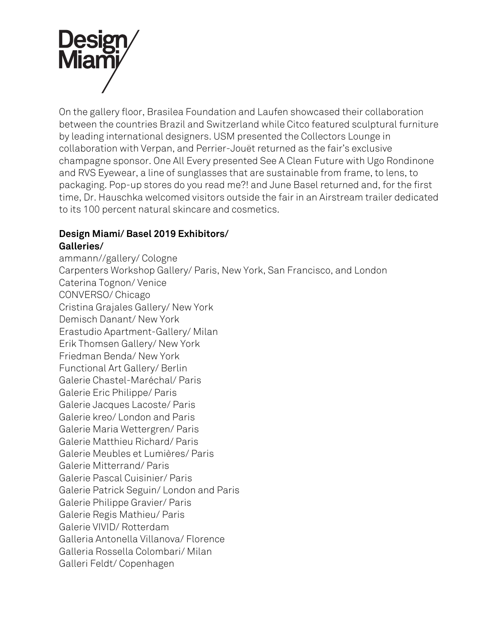

On the gallery floor, Brasilea Foundation and Laufen showcased their collaboration between the countries Brazil and Switzerland while Citco featured sculptural furniture by leading international designers. USM presented the Collectors Lounge in collaboration with Verpan, and Perrier-Jouët returned as the fair's exclusive champagne sponsor. One All Every presented See A Clean Future with Ugo Rondinone and RVS Eyewear, a line of sunglasses that are sustainable from frame, to lens, to packaging. Pop-up stores do you read me?! and June Basel returned and, for the first time, Dr. Hauschka welcomed visitors outside the fair in an Airstream trailer dedicated to its 100 percent natural skincare and cosmetics.

#### **Design Miami/ Basel 2019 Exhibitors/ Galleries/**

ammann//gallery/ Cologne Carpenters Workshop Gallery/ Paris, New York, San Francisco, and London Caterina Tognon/ Venice CONVERSO/ Chicago Cristina Grajales Gallery/ New York Demisch Danant/ New York Erastudio Apartment-Gallery/ Milan Erik Thomsen Gallery/ New York Friedman Benda/ New York Functional Art Gallery/ Berlin Galerie Chastel-Maréchal/ Paris Galerie Eric Philippe/ Paris Galerie Jacques Lacoste/ Paris Galerie kreo/ London and Paris Galerie Maria Wettergren/ Paris Galerie Matthieu Richard/ Paris Galerie Meubles et Lumières/ Paris Galerie Mitterrand/ Paris Galerie Pascal Cuisinier/ Paris Galerie Patrick Seguin/ London and Paris Galerie Philippe Gravier/ Paris Galerie Regis Mathieu/ Paris Galerie VIVID/ Rotterdam Galleria Antonella Villanova/ Florence Galleria Rossella Colombari/ Milan Galleri Feldt/ Copenhagen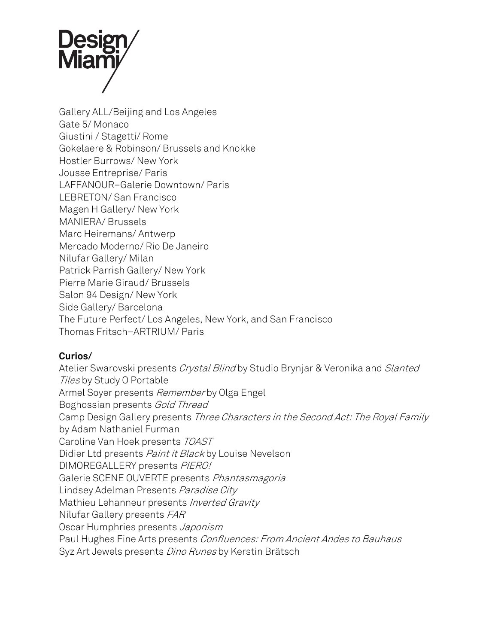

Gallery ALL/Beijing and Los Angeles Gate 5/ Monaco Giustini / Stagetti/ Rome Gokelaere & Robinson/ Brussels and Knokke Hostler Burrows/ New York Jousse Entreprise/ Paris LAFFANOUR–Galerie Downtown/ Paris LEBRETON/ San Francisco Magen H Gallery/ New York MANIERA/ Brussels Marc Heiremans/ Antwerp Mercado Moderno/ Rio De Janeiro Nilufar Gallery/ Milan Patrick Parrish Gallery/ New York Pierre Marie Giraud/ Brussels Salon 94 Design/ New York Side Gallery/ Barcelona The Future Perfect/ Los Angeles, New York, and San Francisco Thomas Fritsch–ARTRIUM/ Paris

### **Curios/**

Atelier Swarovski presents *Crystal Blind* by Studio Brynjar & Veronika and *Slanted* Tiles by Study O Portable Armel Soyer presents Remember by Olga Engel Boghossian presents Gold Thread Camp Design Gallery presents Three Characters in the Second Act: The Royal Family by Adam Nathaniel Furman Caroline Van Hoek presents TOAST Didier Ltd presents Paint it Black by Louise Nevelson DIMOREGALLERY presents PIERO! Galerie SCENE OUVERTE presents Phantasmagoria Lindsey Adelman Presents Paradise City Mathieu Lehanneur presents Inverted Gravity Nilufar Gallery presents FAR Oscar Humphries presents Japonism Paul Hughes Fine Arts presents Confluences: From Ancient Andes to Bauhaus Syz Art Jewels presents *Dino Runes* by Kerstin Brätsch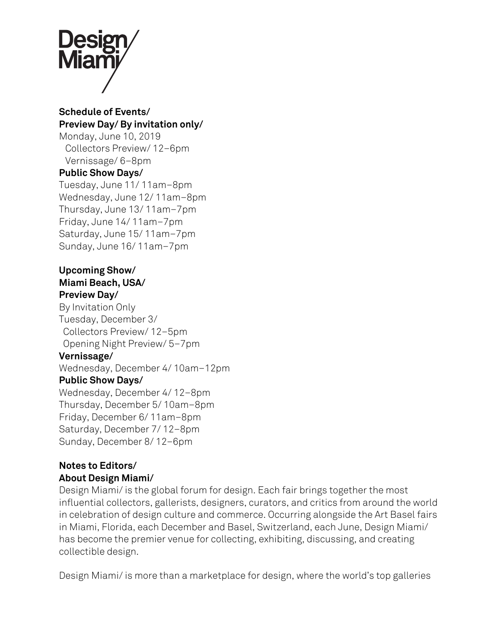

### **Schedule of Events/ Preview Day/ By invitation only/**

Monday, June 10, 2019 Collectors Preview/ 12–6pm Vernissage/ 6–8pm

# **Public Show Days/**

Tuesday, June 11/ 11am–8pm Wednesday, June 12/ 11am–8pm Thursday, June 13/ 11am–7pm Friday, June 14/ 11am–7pm Saturday, June 15/ 11am–7pm Sunday, June 16/ 11am–7pm

#### **Upcoming Show/ Miami Beach, USA/ Preview Day/**

By Invitation Only Tuesday, December 3/ Collectors Preview/ 12–5pm Opening Night Preview/ 5–7pm **Vernissage/** Wednesday, December 4/ 10am–12pm **Public Show Days/** Wednesday, December 4/ 12–8pm Thursday, December 5/ 10am–8pm Friday, December 6/ 11am–8pm Saturday, December 7/ 12–8pm Sunday, December 8/ 12–6pm

# **Notes to Editors/ About Design Miami/**

Design Miami/ is the global forum for design. Each fair brings together the most influential collectors, gallerists, designers, curators, and critics from around the world in celebration of design culture and commerce. Occurring alongside the Art Basel fairs in Miami, Florida, each December and Basel, Switzerland, each June, Design Miami/ has become the premier venue for collecting, exhibiting, discussing, and creating collectible design.

Design Miami/ is more than a marketplace for design, where the world's top galleries